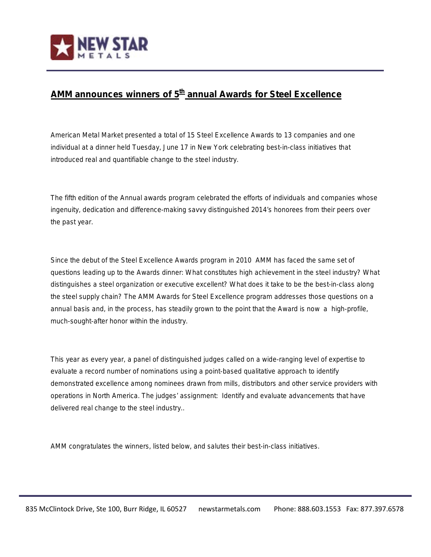

## **AMM announces winners of 5th annual Awards for Steel Excellence**

American Metal Market presented a total of 15 Steel Excellence Awards to 13 companies and one individual at a dinner held Tuesday, June 17 in New York celebrating best-in-class initiatives that introduced real and quantifiable change to the steel industry.

The fifth edition of the Annual awards program celebrated the efforts of individuals and companies whose ingenuity, dedication and difference-making savvy distinguished 2014's honorees from their peers over the past year.

Since the debut of the Steel Excellence Awards program in 2010 AMM has faced the same set of questions leading up to the Awards dinner: What constitutes high achievement in the steel industry? What distinguishes a steel organization or executive excellent? What does it take to be the best-in-class along the steel supply chain? The AMM Awards for Steel Excellence program addresses those questions on a annual basis and, in the process, has steadily grown to the point that the Award is now a high-profile, much-sought-after honor within the industry.

This year as every year, a panel of distinguished judges called on a wide-ranging level of expertise to evaluate a record number of nominations using a point-based qualitative approach to identify demonstrated excellence among nominees drawn from mills, distributors and other service providers with operations in North America. The judges' assignment: Identify and evaluate advancements that have delivered real change to the steel industry..

AMM congratulates the winners, listed below, and salutes their best-in-class initiatives.